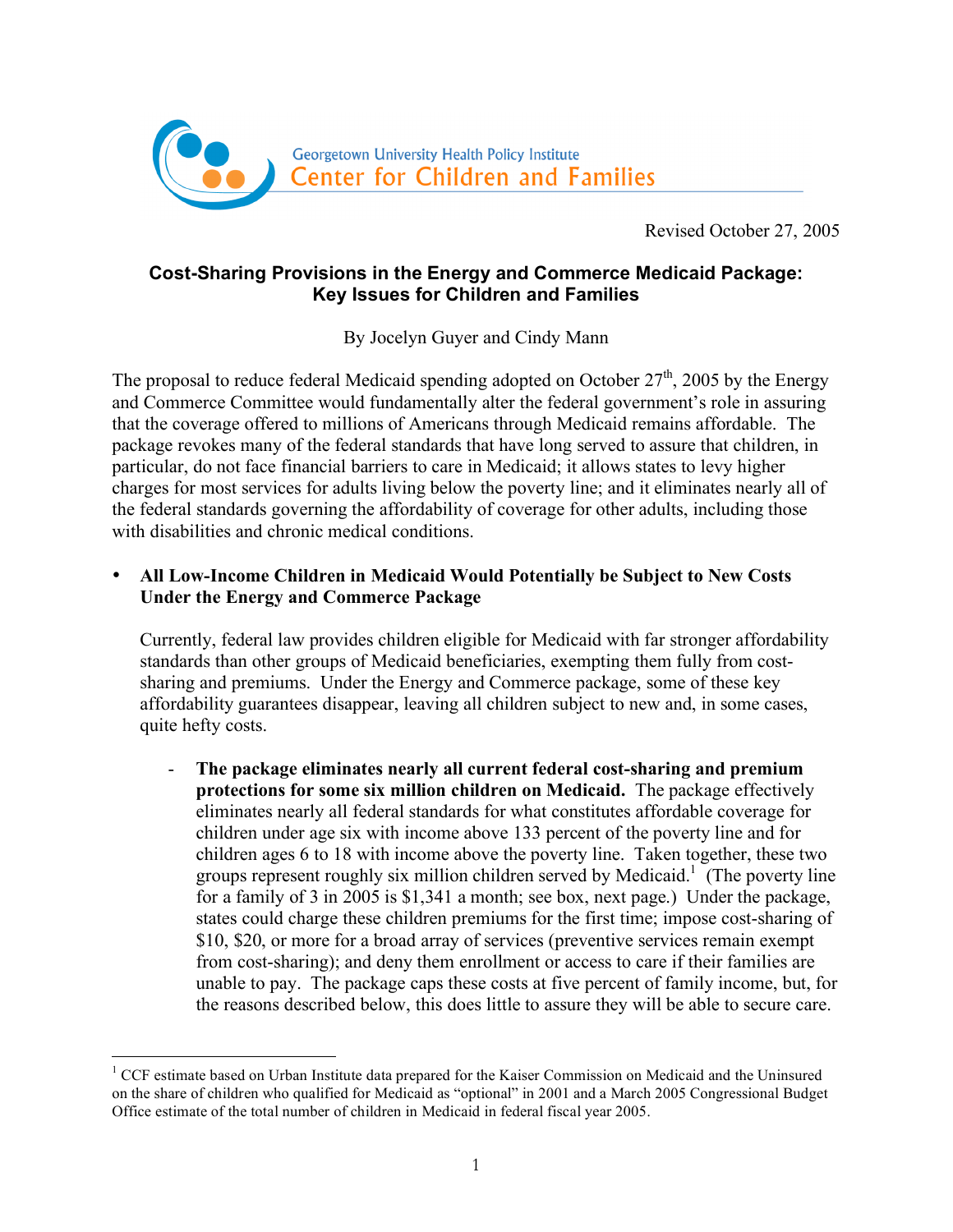

Revised October 27, 2005

# **Cost-Sharing Provisions in the Energy and Commerce Medicaid Package: Key Issues for Children and Families**

By Jocelyn Guyer and Cindy Mann

The proposal to reduce federal Medicaid spending adopted on October  $27<sup>th</sup>$ , 2005 by the Energy and Commerce Committee would fundamentally alter the federal government's role in assuring that the coverage offered to millions of Americans through Medicaid remains affordable. The package revokes many of the federal standards that have long served to assure that children, in particular, do not face financial barriers to care in Medicaid; it allows states to levy higher charges for most services for adults living below the poverty line; and it eliminates nearly all of the federal standards governing the affordability of coverage for other adults, including those with disabilities and chronic medical conditions.

## • **All Low-Income Children in Medicaid Would Potentially be Subject to New Costs Under the Energy and Commerce Package**

Currently, federal law provides children eligible for Medicaid with far stronger affordability standards than other groups of Medicaid beneficiaries, exempting them fully from costsharing and premiums. Under the Energy and Commerce package, some of these key affordability guarantees disappear, leaving all children subject to new and, in some cases, quite hefty costs.

- **The package eliminates nearly all current federal cost-sharing and premium protections for some six million children on Medicaid.** The package effectively eliminates nearly all federal standards for what constitutes affordable coverage for children under age six with income above 133 percent of the poverty line and for children ages 6 to 18 with income above the poverty line. Taken together, these two groups represent roughly six million children served by Medicaid.<sup>1</sup> (The poverty line for a family of 3 in 2005 is \$1,341 a month; see box, next page.) Under the package, states could charge these children premiums for the first time; impose cost-sharing of \$10, \$20, or more for a broad array of services (preventive services remain exempt from cost-sharing); and deny them enrollment or access to care if their families are unable to pay. The package caps these costs at five percent of family income, but, for the reasons described below, this does little to assure they will be able to secure care.

<sup>&</sup>lt;sup>1</sup> CCF estimate based on Urban Institute data prepared for the Kaiser Commission on Medicaid and the Uninsured on the share of children who qualified for Medicaid as "optional" in 2001 and a March 2005 Congressional Budget Office estimate of the total number of children in Medicaid in federal fiscal year 2005.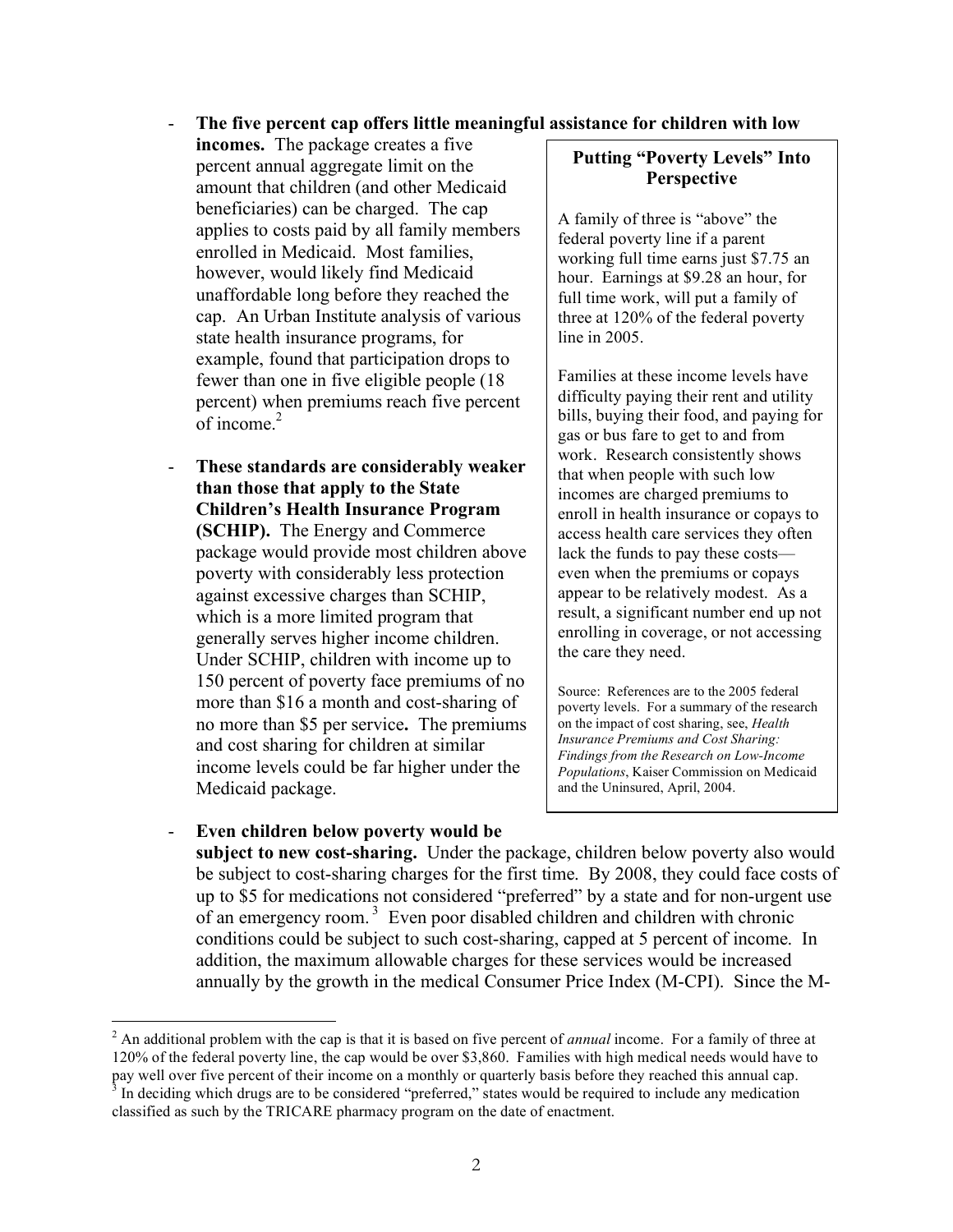#### - **The five percent cap offers little meaningful assistance for children with low**

**incomes.** The package creates a five percent annual aggregate limit on the amount that children (and other Medicaid beneficiaries) can be charged. The cap applies to costs paid by all family members enrolled in Medicaid. Most families, however, would likely find Medicaid unaffordable long before they reached the cap. An Urban Institute analysis of various state health insurance programs, for example, found that participation drops to fewer than one in five eligible people (18 percent) when premiums reach five percent of income. 2

- **These standards are considerably weaker than those that apply to the State Children's Health Insurance Program (SCHIP).** The Energy and Commerce package would provide most children above poverty with considerably less protection against excessive charges than SCHIP, which is a more limited program that generally serves higher income children. Under SCHIP, children with income up to 150 percent of poverty face premiums of no more than \$16 a month and cost-sharing of no more than \$5 per service**.** The premiums and cost sharing for children at similar income levels could be far higher under the Medicaid package.

### **Putting "Poverty Levels" Into Perspective**

A family of three is "above" the federal poverty line if a parent working full time earns just \$7.75 an hour. Earnings at \$9.28 an hour, for full time work, will put a family of three at 120% of the federal poverty line in 2005.

Families at these income levels have difficulty paying their rent and utility bills, buying their food, and paying for gas or bus fare to get to and from work. Research consistently shows that when people with such low incomes are charged premiums to enroll in health insurance or copays to access health care services they often lack the funds to pay these costs even when the premiums or copays appear to be relatively modest. As a result, a significant number end up not enrolling in coverage, or not accessing the care they need.

Source: References are to the 2005 federal poverty levels. For a summary of the research on the impact of cost sharing, see, *Health Insurance Premiums and Cost Sharing: Findings from the Research on Low-Income Populations*, Kaiser Commission on Medicaid and the Uninsured, April, 2004.

- **Even children below poverty would be subject to new cost-sharing.** Under the package, children below poverty also would be subject to cost-sharing charges for the first time. By 2008, they could face costs of up to \$5 for medications not considered "preferred" by a state and for non-urgent use of an emergency room. <sup>3</sup> Even poor disabled children and children with chronic conditions could be subject to such cost-sharing, capped at 5 percent of income. In addition, the maximum allowable charges for these services would be increased annually by the growth in the medical Consumer Price Index (M-CPI). Since the M-

<sup>2</sup> An additional problem with the cap is that it is based on five percent of *annual* income. For <sup>a</sup> family of three at 120% of the federal poverty line, the cap would be over \$3,860. Families with high medical needs would have to pay well over five percent of their income on a monthly or quarterly basis before they reached this annual cap.<br><sup>3</sup> In deciding which drugs are to be considered "preferred," states would be required to include any medicati

classified as such by the TRICARE pharmacy program on the date of enactment.